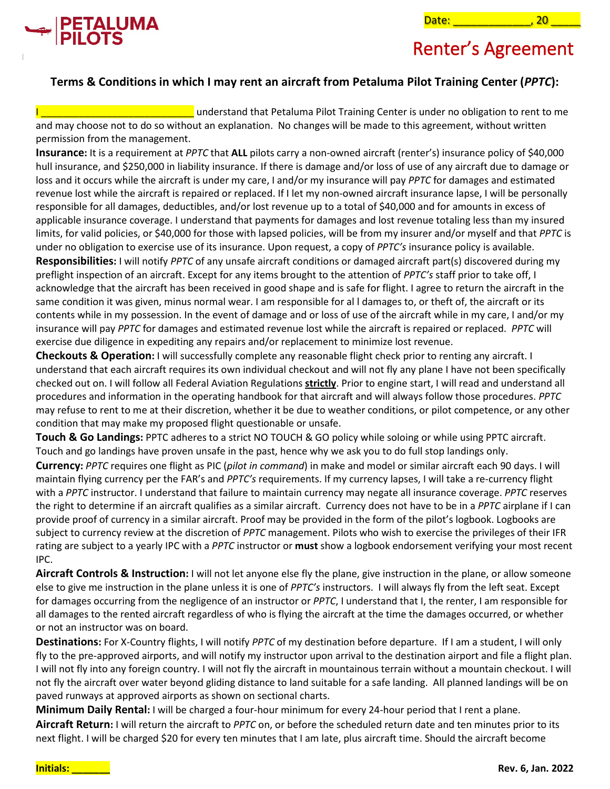



#### **Terms & Conditions in which I may rent an aircraft from Petaluma Pilot Training Center (***PPTC***):**

understand that Petaluma Pilot Training Center is under no obligation to rent to me and may choose not to do so without an explanation. No changes will be made to this agreement, without written permission from the management.

**Insurance:** It is a requirement at *PPTC* that **ALL** pilots carry a non-owned aircraft (renter's) insurance policy of \$40,000 hull insurance, and \$250,000 in liability insurance. If there is damage and/or loss of use of any aircraft due to damage or loss and it occurs while the aircraft is under my care, I and/or my insurance will pay *PPTC* for damages and estimated revenue lost while the aircraft is repaired or replaced. If I let my non-owned aircraft insurance lapse, I will be personally responsible for all damages, deductibles, and/or lost revenue up to a total of \$40,000 and for amounts in excess of applicable insurance coverage. I understand that payments for damages and lost revenue totaling less than my insured limits, for valid policies, or \$40,000 for those with lapsed policies, will be from my insurer and/or myself and that *PPTC* is under no obligation to exercise use of its insurance. Upon request, a copy of *PPTC's* insurance policy is available.

**Responsibilities:** I will notify *PPTC* of any unsafe aircraft conditions or damaged aircraft part(s) discovered during my preflight inspection of an aircraft. Except for any items brought to the attention of *PPTC's* staff prior to take off, I acknowledge that the aircraft has been received in good shape and is safe for flight. I agree to return the aircraft in the same condition it was given, minus normal wear. I am responsible for al l damages to, or theft of, the aircraft or its contents while in my possession. In the event of damage and or loss of use of the aircraft while in my care, I and/or my insurance will pay *PPTC* for damages and estimated revenue lost while the aircraft is repaired or replaced. *PPTC* will exercise due diligence in expediting any repairs and/or replacement to minimize lost revenue.

**Checkouts & Operation:** I will successfully complete any reasonable flight check prior to renting any aircraft. I understand that each aircraft requires its own individual checkout and will not fly any plane I have not been specifically checked out on. I will follow all Federal Aviation Regulations **strictly**. Prior to engine start, I will read and understand all procedures and information in the operating handbook for that aircraft and will always follow those procedures. *PPTC* may refuse to rent to me at their discretion, whether it be due to weather conditions, or pilot competence, or any other condition that may make my proposed flight questionable or unsafe.

**Touch & Go Landings:** PPTC adheres to a strict NO TOUCH & GO policy while soloing or while using PPTC aircraft. Touch and go landings have proven unsafe in the past, hence why we ask you to do full stop landings only.

**Currency:** *PPTC* requires one flight as PIC (*pilot in command*) in make and model or similar aircraft each 90 days. I will maintain flying currency per the FAR's and *PPTC's* requirements. If my currency lapses, I will take a re-currency flight with a *PPTC* instructor. I understand that failure to maintain currency may negate all insurance coverage. *PPTC* reserves the right to determine if an aircraft qualifies as a similar aircraft. Currency does not have to be in a *PPTC* airplane if I can provide proof of currency in a similar aircraft. Proof may be provided in the form of the pilot's logbook. Logbooks are subject to currency review at the discretion of *PPTC* management. Pilots who wish to exercise the privileges of their IFR rating are subject to a yearly IPC with a *PPTC* instructor or **must** show a logbook endorsement verifying your most recent IPC.

**Aircraft Controls & Instruction:** I will not let anyone else fly the plane, give instruction in the plane, or allow someone else to give me instruction in the plane unless it is one of *PPTC's* instructors. I will always fly from the left seat. Except for damages occurring from the negligence of an instructor or *PPTC*, I understand that I, the renter, I am responsible for all damages to the rented aircraft regardless of who is flying the aircraft at the time the damages occurred, or whether or not an instructor was on board.

**Destinations:** For X-Country flights, I will notify *PPTC* of my destination before departure. If I am a student, I will only fly to the pre-approved airports, and will notify my instructor upon arrival to the destination airport and file a flight plan. I will not fly into any foreign country. I will not fly the aircraft in mountainous terrain without a mountain checkout. I will not fly the aircraft over water beyond gliding distance to land suitable for a safe landing. All planned landings will be on paved runways at approved airports as shown on sectional charts.

**Minimum Daily Rental:** I will be charged a four-hour minimum for every 24-hour period that I rent a plane. **Aircraft Return:** I will return the aircraft to *PPTC* on, or before the scheduled return date and ten minutes prior to its next flight. I will be charged \$20 for every ten minutes that I am late, plus aircraft time. Should the aircraft become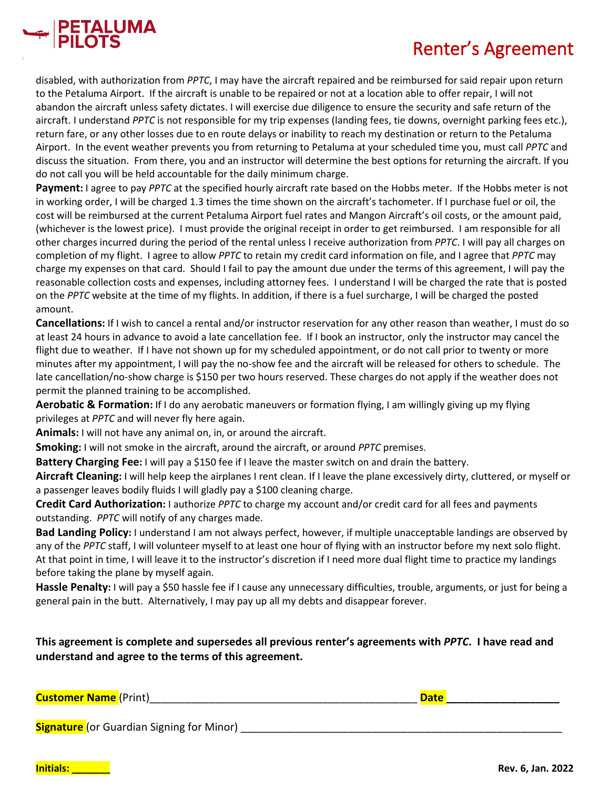

disabled, with authorization from *PPTC*, I may have the aircraft repaired and be reimbursed for said repair upon return to the Petaluma Airport. If the aircraft is unable to be repaired or not at a location able to offer repair, I will not abandon the aircraft unless safety dictates. I will exercise due diligence to ensure the security and safe return of the aircraft. I understand *PPTC* is not responsible for my trip expenses (landing fees, tie downs, overnight parking fees etc.), return fare, or any other losses due to en route delays or inability to reach my destination or return to the Petaluma Airport. In the event weather prevents you from returning to Petaluma at your scheduled time you, must call *PPTC* and discuss the situation. From there, you and an instructor will determine the best options for returning the aircraft. If you do not call you will be held accountable for the daily minimum charge.

**Payment:** I agree to pay *PPTC* at the specified hourly aircraft rate based on the Hobbs meter. If the Hobbs meter is not in working order, I will be charged 1.3 times the time shown on the aircraft's tachometer. If I purchase fuel or oil, the cost will be reimbursed at the current Petaluma Airport fuel rates and Mangon Aircraft's oil costs, or the amount paid, (whichever is the lowest price). I must provide the original receipt in order to get reimbursed. I am responsible for all other charges incurred during the period of the rental unless I receive authorization from *PPTC*. I will pay all charges on completion of my flight. I agree to allow *PPTC* to retain my credit card information on file, and I agree that *PPTC* may charge my expenses on that card. Should I fail to pay the amount due under the terms of this agreement, I will pay the reasonable collection costs and expenses, including attorney fees. I understand I will be charged the rate that is posted on the *PPTC* website at the time of my flights. In addition, if there is a fuel surcharge, I will be charged the posted amount.

**Cancellations:** If I wish to cancel a rental and/or instructor reservation for any other reason than weather, I must do so at least 24 hours in advance to avoid a late cancellation fee. If I book an instructor, only the instructor may cancel the flight due to weather. If I have not shown up for my scheduled appointment, or do not call prior to twenty or more minutes after my appointment, I will pay the no-show fee and the aircraft will be released for others to schedule. The late cancellation/no-show charge is \$150 per two hours reserved. These charges do not apply if the weather does not permit the planned training to be accomplished.

**Aerobatic & Formation:** If I do any aerobatic maneuvers or formation flying, I am willingly giving up my flying privileges at *PPTC* and will never fly here again.

**Animals:** I will not have any animal on, in, or around the aircraft.

**Smoking:** I will not smoke in the aircraft, around the aircraft, or around *PPTC* premises.

**Battery Charging Fee:** I will pay a \$150 fee if I leave the master switch on and drain the battery.

**Aircraft Cleaning:** I will help keep the airplanes I rent clean. If I leave the plane excessively dirty, cluttered, or myself or a passenger leaves bodily fluids I will gladly pay a \$100 cleaning charge.

**Credit Card Authorization:** I authorize *PPTC* to charge my account and/or credit card for all fees and payments outstanding. *PPTC* will notify of any charges made.

**Bad Landing Policy:** I understand I am not always perfect, however, if multiple unacceptable landings are observed by any of the *PPTC* staff, I will volunteer myself to at least one hour of flying with an instructor before my next solo flight. At that point in time, I will leave it to the instructor's discretion if I need more dual flight time to practice my landings before taking the plane by myself again.

**Hassle Penalty:** I will pay a \$50 hassle fee if I cause any unnecessary difficulties, trouble, arguments, or just for being a general pain in the butt. Alternatively, I may pay up all my debts and disappear forever.

**This agreement is complete and supersedes all previous renter's agreements with** *PPTC***. I have read and understand and agree to the terms of this agreement.**

| <b>Customer Name</b> (Print)              | <b>Date</b> |  |
|-------------------------------------------|-------------|--|
|                                           |             |  |
| Signature (or Guardian Signing for Minor) |             |  |